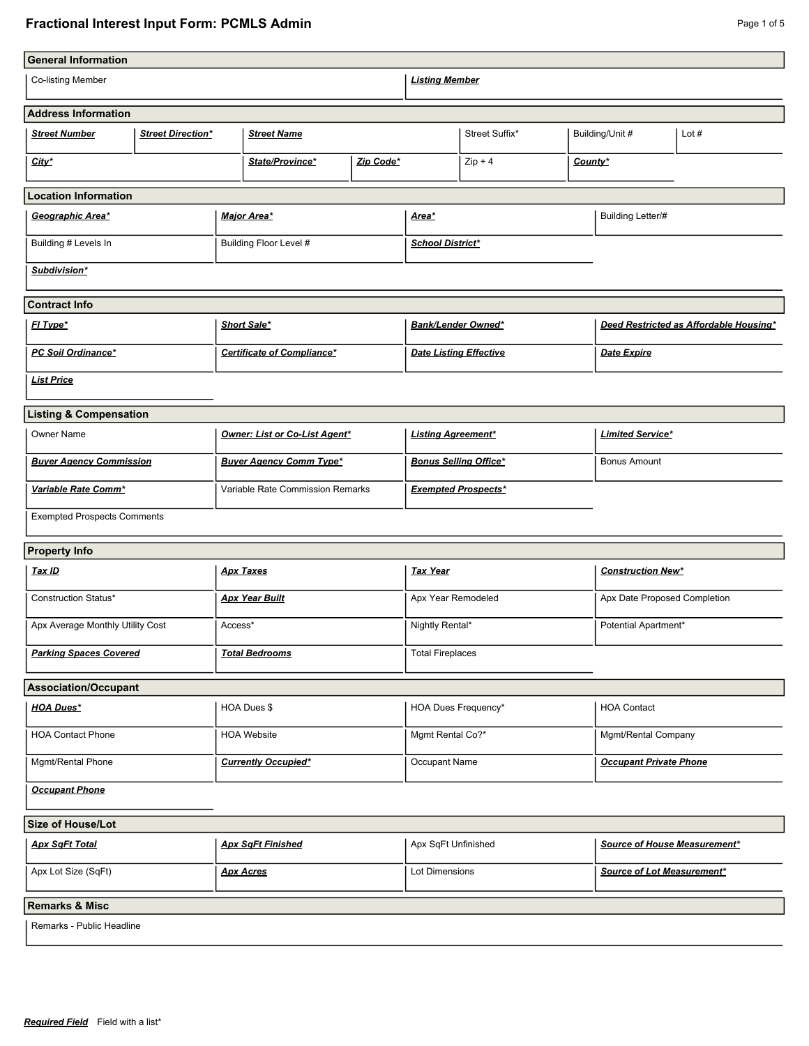## **Fractional Interest Input Form: PCMLS Admin Page 1 of 5** Page 1 of 5

| <b>General Information</b>              |                          |                                  |                                   |                              |                               |                                        |                               |                          |         |
|-----------------------------------------|--------------------------|----------------------------------|-----------------------------------|------------------------------|-------------------------------|----------------------------------------|-------------------------------|--------------------------|---------|
| Co-listing Member                       |                          |                                  |                                   | <b>Listing Member</b>        |                               |                                        |                               |                          |         |
| <b>Address Information</b>              |                          |                                  |                                   |                              |                               |                                        |                               |                          |         |
| <b>Street Number</b>                    | <b>Street Direction*</b> |                                  | <b>Street Name</b>                |                              |                               | Street Suffix*                         |                               | Building/Unit #          | Lot $#$ |
| City*                                   |                          |                                  | State/Province*<br>Zip Code*      |                              |                               | $Zip + 4$<br>County*                   |                               |                          |         |
| <b>Location Information</b>             |                          |                                  |                                   |                              |                               |                                        |                               |                          |         |
| Geographic Area*                        |                          | <b>Major Area*</b>               |                                   | <u>Area*</u>                 |                               | <b>Building Letter/#</b>               |                               |                          |         |
| Building # Levels In                    |                          | Building Floor Level #           |                                   | <b>School District*</b>      |                               |                                        |                               |                          |         |
| Subdivision*                            |                          |                                  |                                   |                              |                               |                                        |                               |                          |         |
| <b>Contract Info</b>                    |                          |                                  |                                   |                              |                               |                                        |                               |                          |         |
| FI Type*                                |                          | Short Sale*                      |                                   | Bank/Lender Owned*           |                               | Deed Restricted as Affordable Housing* |                               |                          |         |
| <b>PC Soil Ordinance*</b>               |                          |                                  | <b>Certificate of Compliance*</b> |                              | <b>Date Listing Effective</b> |                                        | Date Expire                   |                          |         |
| <b>List Price</b>                       |                          |                                  |                                   |                              |                               |                                        |                               |                          |         |
| <b>Listing &amp; Compensation</b>       |                          |                                  |                                   |                              |                               |                                        |                               |                          |         |
| <b>Owner Name</b>                       |                          | Owner: List or Co-List Agent*    |                                   | <b>Listing Agreement*</b>    |                               | <b>Limited Service*</b>                |                               |                          |         |
| <b>Buyer Agency Commission</b>          |                          | <b>Buyer Agency Comm Type*</b>   |                                   | <b>Bonus Selling Office*</b> |                               | <b>Bonus Amount</b>                    |                               |                          |         |
| Variable Rate Comm*                     |                          | Variable Rate Commission Remarks |                                   | <b>Exempted Prospects*</b>   |                               |                                        |                               |                          |         |
| <b>Exempted Prospects Comments</b>      |                          |                                  |                                   |                              |                               |                                        |                               |                          |         |
| <b>Property Info</b>                    |                          |                                  |                                   |                              |                               |                                        |                               |                          |         |
| <u>Tax ID</u>                           |                          |                                  | <b>Apx Taxes</b>                  |                              | <u>Tax Year</u>               |                                        |                               | <b>Construction New*</b> |         |
| Construction Status*                    |                          | <b>Apx Year Built</b>            |                                   | Apx Year Remodeled           |                               | Apx Date Proposed Completion           |                               |                          |         |
| Apx Average Monthly Utility Cost        |                          | Access*                          |                                   | Nightly Rental*              |                               | Potential Apartment*                   |                               |                          |         |
| <b>Parking Spaces Covered</b>           |                          | <b>Total Bedrooms</b>            |                                   | <b>Total Fireplaces</b>      |                               |                                        |                               |                          |         |
| <b>Association/Occupant</b>             |                          |                                  |                                   |                              |                               |                                        |                               |                          |         |
| <b>HOA Dues*</b>                        |                          |                                  | HOA Dues \$                       |                              | <b>HOA Dues Frequency*</b>    |                                        | <b>HOA Contact</b>            |                          |         |
| <b>HOA Contact Phone</b>                |                          |                                  | <b>HOA Website</b>                |                              | Mgmt Rental Co?*              |                                        |                               | Mgmt/Rental Company      |         |
| Mgmt/Rental Phone                       |                          |                                  | <b>Currently Occupied*</b>        |                              | Occupant Name                 |                                        | <b>Occupant Private Phone</b> |                          |         |
| <b>Occupant Phone</b>                   |                          |                                  |                                   |                              |                               |                                        |                               |                          |         |
| <b>Size of House/Lot</b>                |                          |                                  |                                   |                              |                               |                                        |                               |                          |         |
| <b>Apx SqFt Total</b>                   |                          | <b>Apx SqFt Finished</b>         |                                   | Apx SqFt Unfinished          |                               | Source of House Measurement*           |                               |                          |         |
| Apx Lot Size (SqFt)<br><b>Apx Acres</b> |                          |                                  |                                   | Lot Dimensions               |                               | Source of Lot Measurement*             |                               |                          |         |
| <b>Remarks &amp; Misc</b>               |                          |                                  |                                   |                              |                               |                                        |                               |                          |         |
| Remarks - Public Headline               |                          |                                  |                                   |                              |                               |                                        |                               |                          |         |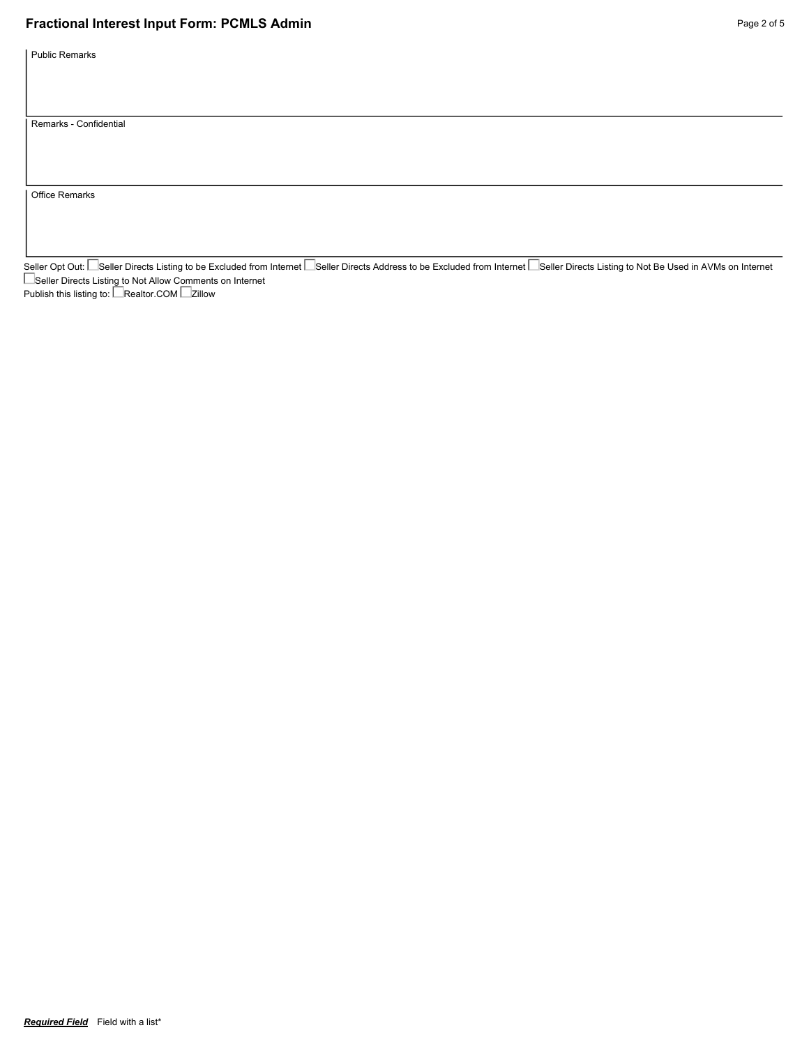## **Fractional Interest Input Form: PCMLS Admin Page 2 of 5 Page 2 of 5 Page 2 of 5**

Public Remarks

Remarks - Confidential

Office Remarks

Seller Opt Out: └─Seller Directs Listing to be Excluded from Internet └─Seller Directs Address to be Excluded from Internet └─Seller Directs Listing to Not Be Used in AVMs on Internet Seller Directs Listing to Not Allow Comments on Internet

Publish this listing to: LeRealtor.COM Le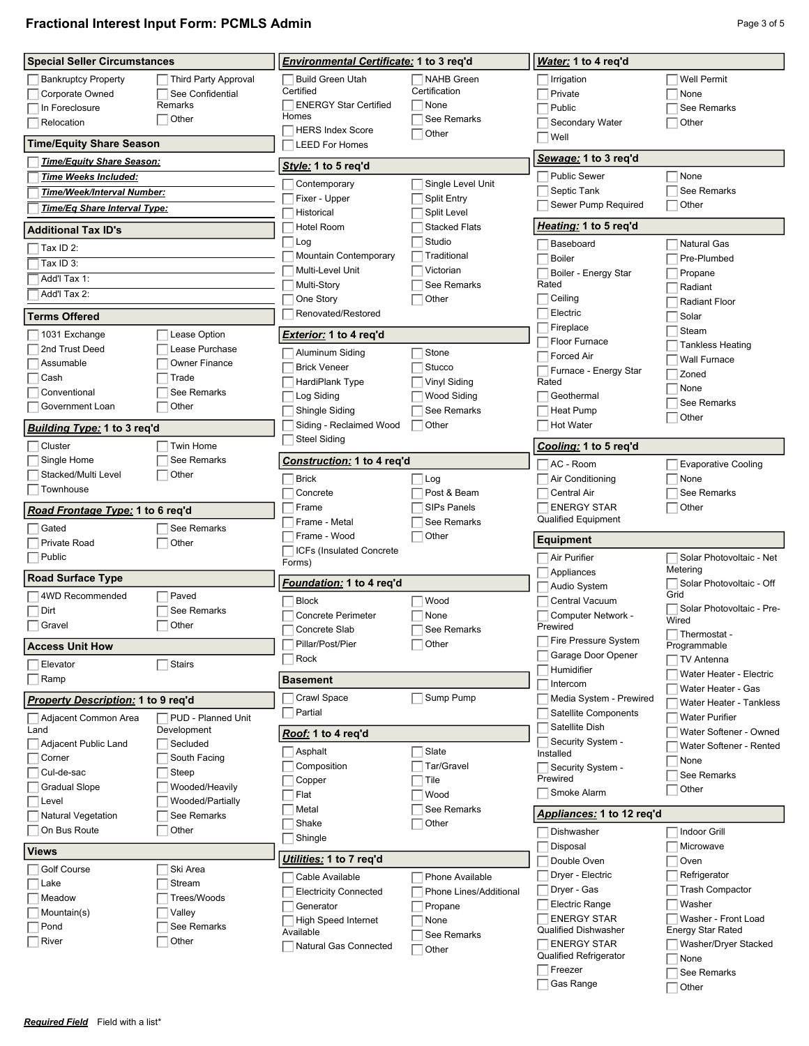## **Fractional Interest Input Form: PCMLS Admin Page 101 Contract Contract Contract Page 3 of 5**

| <b>Special Seller Circumstances</b>       |                             | Environmental Certificate: 1 to 3 reg'd          |                                | Water: 1 to 4 req'd                              |                                    |  |
|-------------------------------------------|-----------------------------|--------------------------------------------------|--------------------------------|--------------------------------------------------|------------------------------------|--|
| <b>Bankruptcy Property</b>                | <b>Third Party Approval</b> | <b>Build Green Utah</b>                          | <b>NAHB</b> Green              | Irrigation                                       | <b>Well Permit</b>                 |  |
| Corporate Owned                           | See Confidential            | Certified                                        | Certification                  | Private                                          | None                               |  |
| In Foreclosure                            | Remarks                     | <b>ENERGY Star Certified</b>                     | None                           | Public                                           | See Remarks                        |  |
| Relocation                                | Other                       | Homes                                            | See Remarks                    | Secondary Water                                  | Other                              |  |
| <b>Time/Equity Share Season</b>           |                             | <b>HERS Index Score</b><br><b>LEED For Homes</b> | Other                          | Well                                             |                                    |  |
| Time/Equity Share Season:                 |                             |                                                  |                                | Sewage: 1 to 3 req'd                             |                                    |  |
| Time Weeks Included:                      |                             | Style: 1 to 5 req'd                              |                                | <b>Public Sewer</b>                              | None                               |  |
| Time/Week/Interval Number:                |                             | Contemporary                                     | Single Level Unit              | Septic Tank                                      | See Remarks                        |  |
|                                           |                             | Fixer - Upper                                    | <b>Split Entry</b>             | Sewer Pump Required                              | Other                              |  |
| Time/Eq Share Interval Type:              |                             | Historical                                       | Split Level                    |                                                  |                                    |  |
| <b>Additional Tax ID's</b>                |                             | <b>Hotel Room</b><br>Log                         | <b>Stacked Flats</b><br>Studio | Heating: 1 to 5 req'd                            |                                    |  |
| Tax ID 2:                                 |                             | Mountain Contemporary                            | Traditional                    | Baseboard<br><b>Boiler</b>                       | <b>Natural Gas</b><br>Pre-Plumbed  |  |
| Tax ID 3:                                 |                             | Multi-Level Unit                                 | Victorian                      | Boiler - Energy Star                             |                                    |  |
| Add'l Tax 1:                              |                             | Multi-Story                                      | See Remarks                    | Rated                                            | Propane<br>Radiant                 |  |
| Add'l Tax 2:                              |                             | One Story                                        | Other                          | Ceiling                                          | <b>Radiant Floor</b>               |  |
| <b>Terms Offered</b>                      |                             | Renovated/Restored                               |                                | Electric                                         | Solar                              |  |
|                                           |                             |                                                  |                                | Fireplace                                        | Steam                              |  |
| 1031 Exchange                             | Lease Option                | <b>Exterior: 1 to 4 reg'd</b>                    |                                | Floor Furnace                                    | <b>Tankless Heating</b>            |  |
| 2nd Trust Deed                            | Lease Purchase              | Aluminum Siding                                  | Stone                          | <b>Forced Air</b>                                | Wall Furnace                       |  |
| Assumable                                 | <b>Owner Finance</b>        | <b>Brick Veneer</b>                              | Stucco                         | Furnace - Energy Star                            | Zoned                              |  |
| Cash                                      | Trade                       | HardiPlank Type                                  | <b>Vinyl Siding</b>            | Rated                                            | None                               |  |
| Conventional                              | See Remarks                 | Log Siding                                       | Wood Siding                    | Geothermal                                       | See Remarks                        |  |
| Government Loan                           | Other                       | Shingle Siding                                   | See Remarks                    | Heat Pump                                        | Other                              |  |
| Building Type: 1 to 3 reg'd               |                             | Siding - Reclaimed Wood                          | Other                          | <b>Hot Water</b>                                 |                                    |  |
| Cluster                                   | <b>Twin Home</b>            | <b>Steel Siding</b>                              |                                | Cooling: 1 to 5 req'd                            |                                    |  |
| Single Home                               | See Remarks                 | Construction: 1 to 4 reg'd                       |                                |                                                  |                                    |  |
| Stacked/Multi Level                       | Other                       |                                                  |                                | AC - Room                                        | <b>Evaporative Cooling</b>         |  |
| Townhouse                                 |                             | <b>Brick</b>                                     | Log                            | Air Conditioning                                 | None                               |  |
|                                           |                             | Concrete                                         | Post & Beam                    | Central Air                                      | See Remarks                        |  |
| Road Frontage Type: 1 to 6 reg'd          |                             | Frame                                            | <b>SIPs Panels</b>             | <b>ENERGY STAR</b><br><b>Qualified Equipment</b> | Other                              |  |
| Gated                                     | See Remarks                 | Frame - Metal                                    | See Remarks                    |                                                  |                                    |  |
|                                           |                             |                                                  |                                |                                                  |                                    |  |
| Private Road                              | Other                       | Frame - Wood                                     | Other                          | <b>Equipment</b>                                 |                                    |  |
| Public                                    |                             | ICFs (Insulated Concrete)                        |                                | Air Purifier                                     | Solar Photovoltaic - Net           |  |
|                                           |                             | Forms)                                           |                                | Appliances                                       | Metering                           |  |
| <b>Road Surface Type</b>                  |                             | <u>Foundation:</u> 1 to 4 req'd                  |                                | Audio System                                     | Solar Photovoltaic - Off           |  |
| 4WD Recommended                           | Paved                       | <b>Block</b>                                     | Wood                           | Central Vacuum                                   | Grid                               |  |
| Dirt                                      | See Remarks                 | <b>Concrete Perimeter</b>                        | None                           | Computer Network -                               | Solar Photovoltaic - Pre-<br>Wired |  |
| Gravel                                    | Other                       | Concrete Slab                                    | See Remarks                    | Prewired                                         | Thermostat -                       |  |
| <b>Access Unit How</b>                    |                             | Pillar/Post/Pier                                 | Other                          | Fire Pressure System                             | Programmable                       |  |
| Elevator                                  | <b>Stairs</b>               | Rock                                             |                                | Garage Door Opener                               | <b>TV Antenna</b>                  |  |
| Ramp                                      |                             | <b>Basement</b>                                  |                                | Humidifier                                       | Water Heater - Electric            |  |
|                                           |                             |                                                  |                                | Intercom                                         | Water Heater - Gas                 |  |
| <b>Property Description: 1 to 9 reg'd</b> |                             | Crawl Space                                      | Sump Pump                      | Media System - Prewired                          | Water Heater - Tankless            |  |
| Adjacent Common Area                      | $\Box$ PUD - Planned Unit   | Partial                                          |                                | Satellite Components<br>Satellite Dish           | <b>Water Purifier</b>              |  |
| Land<br>Adjacent Public Land              | Development<br>Secluded     | Roof: 1 to 4 req'd                               |                                | Security System -                                | Water Softener - Owned             |  |
| Corner                                    | South Facing                | Asphalt                                          | Slate                          | Installed                                        | Water Softener - Rented            |  |
| Cul-de-sac                                | Steep                       | Composition                                      | Tar/Gravel                     | Security System -                                | None                               |  |
| <b>Gradual Slope</b>                      | Wooded/Heavily              | Copper                                           | Tile                           | Prewired                                         | See Remarks                        |  |
| Level                                     | Wooded/Partially            | Flat                                             | Wood                           | Smoke Alarm                                      | Other                              |  |
| Natural Vegetation                        | See Remarks                 | Metal                                            | See Remarks                    | Appliances: 1 to 12 req'd                        |                                    |  |
| On Bus Route                              | Other                       | Shake                                            | Other                          | Dishwasher                                       | <b>Indoor Grill</b>                |  |
|                                           |                             | Shingle                                          |                                | Disposal                                         | Microwave                          |  |
| <b>Views</b>                              |                             | Utilities: 1 to 7 req'd                          |                                | Double Oven                                      | Oven                               |  |
| <b>Golf Course</b>                        | Ski Area                    | Cable Available                                  | Phone Available                | Dryer - Electric                                 | Refrigerator                       |  |
| Lake                                      | Stream                      | <b>Electricity Connected</b>                     | Phone Lines/Additional         | Dryer - Gas                                      | <b>Trash Compactor</b>             |  |
| Meadow                                    | Trees/Woods                 | Generator                                        | Propane                        | <b>Electric Range</b>                            | Washer                             |  |
| Mountain(s)                               | Valley                      | <b>High Speed Internet</b>                       | None                           | <b>ENERGY STAR</b>                               | Washer - Front Load                |  |
| Pond                                      | See Remarks                 | Available                                        | See Remarks                    | <b>Qualified Dishwasher</b>                      | <b>Energy Star Rated</b>           |  |
| River                                     | Other                       | Natural Gas Connected                            | Other                          | <b>ENERGY STAR</b>                               | Washer/Dryer Stacked               |  |
|                                           |                             |                                                  |                                | <b>Qualified Refrigerator</b>                    | None                               |  |
|                                           |                             |                                                  |                                | Freezer<br>Gas Range                             | See Remarks<br>Other               |  |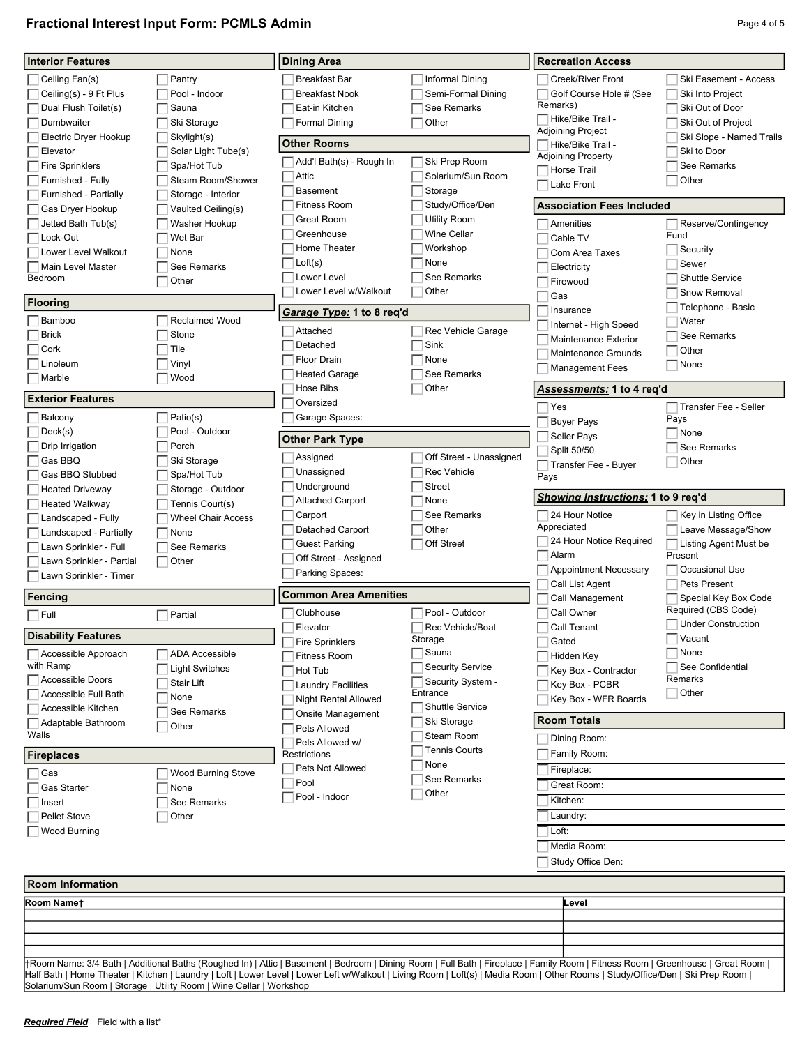## **Fractional Interest Input Form: PCMLS Admin Page 4 of 5** Page 4 of 5

| <b>Interior Features</b>         |                                                                     | <b>Dining Area</b>                                                                                                                                                             |                               | <b>Recreation Access</b>                  |                                  |
|----------------------------------|---------------------------------------------------------------------|--------------------------------------------------------------------------------------------------------------------------------------------------------------------------------|-------------------------------|-------------------------------------------|----------------------------------|
| Ceiling Fan(s)                   | Pantry                                                              | <b>Breakfast Bar</b>                                                                                                                                                           | Informal Dining               | Creek/River Front                         | Ski Easement - Access            |
| Ceiling(s) - 9 Ft Plus           | Pool - Indoor                                                       | <b>Breakfast Nook</b>                                                                                                                                                          | Semi-Formal Dining            | Golf Course Hole # (See                   | Ski Into Project                 |
| Dual Flush Toilet(s)             | Sauna                                                               | Eat-in Kitchen                                                                                                                                                                 | See Remarks                   | Remarks)                                  | Ski Out of Door                  |
| Dumbwaiter                       | Ski Storage                                                         | <b>Formal Dining</b>                                                                                                                                                           | Other                         | □ Hike/Bike Trail -                       | Ski Out of Project               |
| Electric Dryer Hookup            | Skylight(s)                                                         |                                                                                                                                                                                |                               | Adjoining Project                         | Ski Slope - Named Trails         |
| Elevator                         | Solar Light Tube(s)                                                 | <b>Other Rooms</b>                                                                                                                                                             |                               | Hike/Bike Trail -                         | Ski to Door                      |
| <b>Fire Sprinklers</b>           | Spa/Hot Tub                                                         | Add'l Bath(s) - Rough In                                                                                                                                                       | Ski Prep Room                 | <b>Adjoining Property</b><br>Horse Trail  | See Remarks                      |
| Furnished - Fully                | Steam Room/Shower                                                   | Attic                                                                                                                                                                          | Solarium/Sun Room             |                                           | Other                            |
| Furnished - Partially            | Storage - Interior                                                  | <b>Basement</b>                                                                                                                                                                | Storage                       | Lake Front                                |                                  |
| Gas Dryer Hookup                 | Vaulted Ceiling(s)                                                  | Fitness Room                                                                                                                                                                   | Study/Office/Den              | <b>Association Fees Included</b>          |                                  |
| Jetted Bath Tub(s)               | Washer Hookup                                                       | <b>Great Room</b>                                                                                                                                                              | <b>Utility Room</b>           | Amenities                                 | Reserve/Contingency              |
| Lock-Out                         | Wet Bar                                                             | Greenhouse                                                                                                                                                                     | Wine Cellar                   | Cable TV                                  | Fund                             |
| Lower Level Walkout              | None                                                                | Home Theater                                                                                                                                                                   | Workshop                      | Com Area Taxes                            | Security                         |
| Main Level Master                | See Remarks                                                         | Loft(s)                                                                                                                                                                        | None                          | Electricity                               | Sewer                            |
| Bedroom                          | Other                                                               | Lower Level                                                                                                                                                                    | See Remarks                   | Firewood                                  | <b>Shuttle Service</b>           |
|                                  |                                                                     | Lower Level w/Walkout                                                                                                                                                          | Other                         | Gas                                       | Snow Removal                     |
| <b>Flooring</b>                  |                                                                     | Garage Type: 1 to 8 reg'd                                                                                                                                                      |                               | Insurance                                 | Telephone - Basic                |
| Bamboo                           | <b>Reclaimed Wood</b>                                               |                                                                                                                                                                                |                               | Internet - High Speed                     | Water                            |
| <b>Brick</b>                     | Stone                                                               | Attached                                                                                                                                                                       | Rec Vehicle Garage            | <b>Maintenance Exterior</b>               | See Remarks                      |
| Cork                             | Tile                                                                | Detached                                                                                                                                                                       | Sink                          | <b>Maintenance Grounds</b>                | Other                            |
| Linoleum                         | Vinyl                                                               | Floor Drain                                                                                                                                                                    | None                          | <b>Management Fees</b>                    | None                             |
| Marble                           | Wood                                                                | <b>Heated Garage</b>                                                                                                                                                           | See Remarks                   |                                           |                                  |
|                                  |                                                                     | <b>Hose Bibs</b>                                                                                                                                                               | Other                         | <u>Assessments:</u> 1 to 4 req'd          |                                  |
| <b>Exterior Features</b>         |                                                                     | Oversized                                                                                                                                                                      |                               | Yes                                       | Transfer Fee - Seller            |
| Balcony                          | Patio(s)                                                            | Garage Spaces:                                                                                                                                                                 |                               | <b>Buyer Pays</b>                         | Pays                             |
| Deck(s)                          | Pool - Outdoor                                                      | <b>Other Park Type</b>                                                                                                                                                         |                               | Seller Pays                               | None                             |
| Drip Irrigation                  | Porch                                                               |                                                                                                                                                                                |                               | Split 50/50                               | See Remarks                      |
| Gas BBQ                          | Ski Storage                                                         | Assigned                                                                                                                                                                       | Off Street - Unassigned       | Transfer Fee - Buyer                      | Other                            |
| Gas BBQ Stubbed                  | Spa/Hot Tub                                                         | Unassigned                                                                                                                                                                     | <b>Rec Vehicle</b>            | Pays                                      |                                  |
| <b>Heated Driveway</b>           | Storage - Outdoor                                                   | Underground                                                                                                                                                                    | <b>Street</b>                 | <u>Showing Instructions:</u> 1 to 9 req'd |                                  |
| <b>Heated Walkway</b>            | Tennis Court(s)                                                     | <b>Attached Carport</b>                                                                                                                                                        | None                          |                                           |                                  |
| Landscaped - Fully               | <b>Wheel Chair Access</b>                                           | Carport                                                                                                                                                                        | See Remarks                   | 24 Hour Notice<br>Appreciated             | Key in Listing Office            |
| Landscaped - Partially           | None                                                                | Detached Carport                                                                                                                                                               | Other                         | 24 Hour Notice Required                   | Leave Message/Show               |
| Lawn Sprinkler - Full            | See Remarks                                                         | <b>Guest Parking</b>                                                                                                                                                           | Off Street                    | Alarm                                     | Listing Agent Must be<br>Present |
| Lawn Sprinkler - Partial         | Other                                                               | Off Street - Assigned                                                                                                                                                          |                               | <b>Appointment Necessary</b>              | Occasional Use                   |
| Lawn Sprinkler - Timer           |                                                                     | Parking Spaces:                                                                                                                                                                |                               | Call List Agent                           | <b>Pets Present</b>              |
| Fencing                          |                                                                     | <b>Common Area Amenities</b>                                                                                                                                                   |                               | Call Management                           | Special Key Box Code             |
|                                  |                                                                     |                                                                                                                                                                                |                               | Call Owner                                | Required (CBS Code)              |
|                                  |                                                                     |                                                                                                                                                                                |                               |                                           |                                  |
| Full                             | Partial                                                             | Clubhouse                                                                                                                                                                      | Pool - Outdoor                |                                           | <b>Under Construction</b>        |
| <b>Disability Features</b>       |                                                                     | Elevator                                                                                                                                                                       | <b>Rec Vehicle/Boat</b>       | Call Tenant                               |                                  |
|                                  |                                                                     | <b>Fire Sprinklers</b>                                                                                                                                                         | Storage                       | Gated                                     | Vacant<br>None                   |
| Accessible Approach<br>with Ramp | <b>ADA Accessible</b>                                               | <b>Fitness Room</b>                                                                                                                                                            | Sauna                         | Hidden Key                                | See Confidential                 |
| Accessible Doors                 | <b>Light Switches</b>                                               | Hot Tub                                                                                                                                                                        | <b>Security Service</b>       | Key Box - Contractor                      | Remarks                          |
| Accessible Full Bath             | Stair Lift                                                          | <b>Laundry Facilities</b>                                                                                                                                                      | Security System -<br>Entrance | Key Box - PCBR                            | Other                            |
| Accessible Kitchen               | None                                                                | <b>Night Rental Allowed</b>                                                                                                                                                    | Shuttle Service               | Key Box - WFR Boards                      |                                  |
| Adaptable Bathroom               | See Remarks                                                         | Onsite Management                                                                                                                                                              | Ski Storage                   | <b>Room Totals</b>                        |                                  |
| Walls                            | Other                                                               | Pets Allowed                                                                                                                                                                   | Steam Room                    | Dining Room:                              |                                  |
|                                  |                                                                     | Pets Allowed w/                                                                                                                                                                | <b>Tennis Courts</b>          |                                           |                                  |
| <b>Fireplaces</b>                |                                                                     | <b>Restrictions</b>                                                                                                                                                            | None                          | Family Room:                              |                                  |
| Gas                              | Wood Burning Stove                                                  | Pets Not Allowed                                                                                                                                                               | See Remarks                   | Fireplace:                                |                                  |
| Gas Starter                      | None                                                                | Pool                                                                                                                                                                           | Other                         | Great Room:                               |                                  |
| Insert                           | See Remarks                                                         | Pool - Indoor                                                                                                                                                                  |                               | Kitchen:                                  |                                  |
| <b>Pellet Stove</b>              | Other                                                               |                                                                                                                                                                                |                               | Laundry:                                  |                                  |
| Wood Burning                     |                                                                     |                                                                                                                                                                                |                               | Loft:                                     |                                  |
|                                  |                                                                     |                                                                                                                                                                                |                               | Media Room:                               |                                  |
|                                  |                                                                     |                                                                                                                                                                                |                               | Study Office Den:                         |                                  |
|                                  |                                                                     |                                                                                                                                                                                |                               |                                           |                                  |
| <b>Room Information</b>          |                                                                     |                                                                                                                                                                                |                               |                                           |                                  |
| Room Namet                       |                                                                     |                                                                                                                                                                                |                               | Level                                     |                                  |
|                                  |                                                                     |                                                                                                                                                                                |                               |                                           |                                  |
|                                  |                                                                     |                                                                                                                                                                                |                               |                                           |                                  |
|                                  |                                                                     |                                                                                                                                                                                |                               |                                           |                                  |
|                                  |                                                                     | HRoom Name: 3/4 Bath   Additional Baths (Roughed In)   Attic   Basement   Bedroom   Dining Room   Full Bath   Fireplace   Family Room   Fitness Room   Greenhouse   Great Room |                               |                                           |                                  |
|                                  | Solarium/Sun Room   Storage   Utility Room   Wine Cellar   Workshop | Half Bath   Home Theater   Kitchen   Laundry   Loft   Lower Level   Lower Left w/Walkout   Living Room   Loft(s)   Media Room   Other Rooms   Study/Office/Den   Ski Prep Room |                               |                                           |                                  |